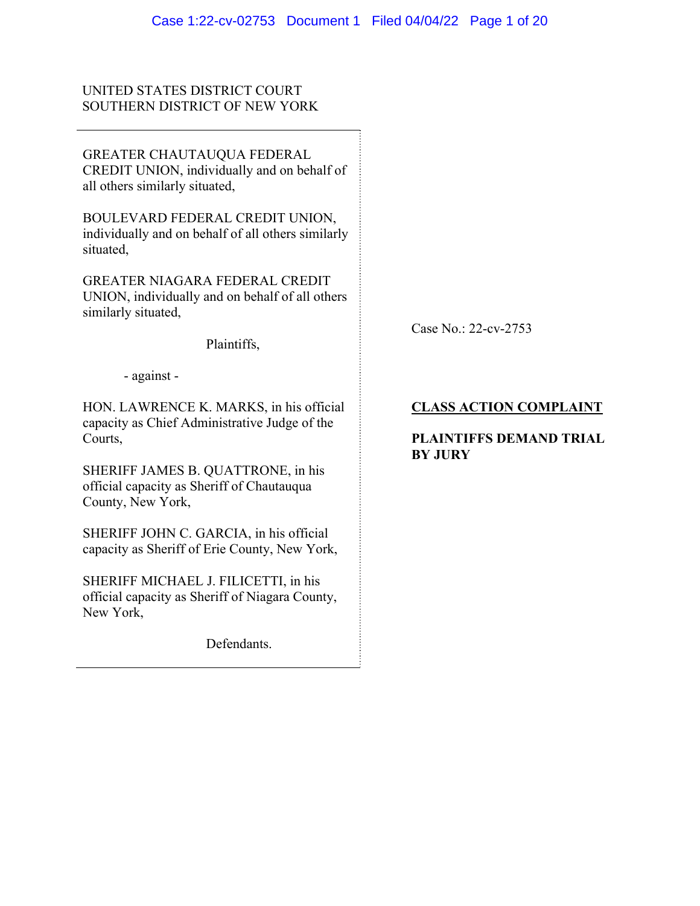# UNITED STATES DISTRICT COURT SOUTHERN DISTRICT OF NEW YORK

GREATER CHAUTAUQUA FEDERAL CREDIT UNION, individually and on behalf of all others similarly situated,

BOULEVARD FEDERAL CREDIT UNION, individually and on behalf of all others similarly situated,

GREATER NIAGARA FEDERAL CREDIT UNION, individually and on behalf of all others similarly situated,

Plaintiffs,

Case No.: 22-cv-2753

- against -

HON. LAWRENCE K. MARKS, in his official capacity as Chief Administrative Judge of the Courts,

SHERIFF JAMES B. QUATTRONE, in his official capacity as Sheriff of Chautauqua County, New York,

SHERIFF JOHN C. GARCIA, in his official capacity as Sheriff of Erie County, New York,

SHERIFF MICHAEL J. FILICETTI, in his official capacity as Sheriff of Niagara County, New York,

Defendants.

# **CLASS ACTION COMPLAINT**

# **PLAINTIFFS DEMAND TRIAL BY JURY**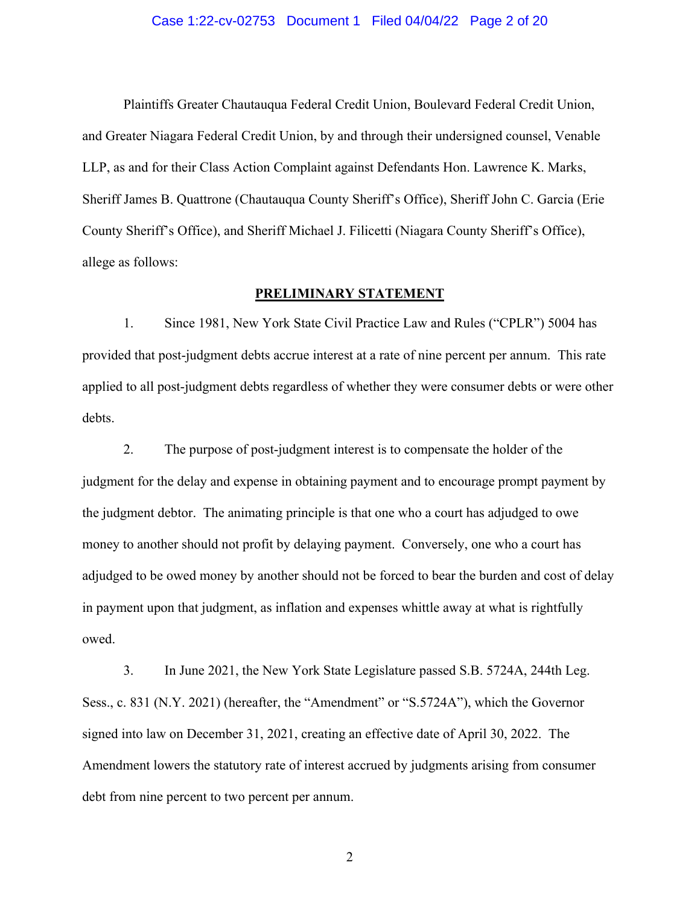#### Case 1:22-cv-02753 Document 1 Filed 04/04/22 Page 2 of 20

Plaintiffs Greater Chautauqua Federal Credit Union, Boulevard Federal Credit Union, and Greater Niagara Federal Credit Union, by and through their undersigned counsel, Venable LLP, as and for their Class Action Complaint against Defendants Hon. Lawrence K. Marks, Sheriff James B. Quattrone (Chautauqua County Sheriff's Office), Sheriff John C. Garcia (Erie County Sheriff's Office), and Sheriff Michael J. Filicetti (Niagara County Sheriff's Office), allege as follows:

## **PRELIMINARY STATEMENT**

1. Since 1981, New York State Civil Practice Law and Rules ("CPLR") 5004 has provided that post-judgment debts accrue interest at a rate of nine percent per annum. This rate applied to all post-judgment debts regardless of whether they were consumer debts or were other debts.

2. The purpose of post-judgment interest is to compensate the holder of the judgment for the delay and expense in obtaining payment and to encourage prompt payment by the judgment debtor. The animating principle is that one who a court has adjudged to owe money to another should not profit by delaying payment. Conversely, one who a court has adjudged to be owed money by another should not be forced to bear the burden and cost of delay in payment upon that judgment, as inflation and expenses whittle away at what is rightfully owed.

3. In June 2021, the New York State Legislature passed S.B. 5724A, 244th Leg. Sess., c. 831 (N.Y. 2021) (hereafter, the "Amendment" or "S.5724A"), which the Governor signed into law on December 31, 2021, creating an effective date of April 30, 2022. The Amendment lowers the statutory rate of interest accrued by judgments arising from consumer debt from nine percent to two percent per annum.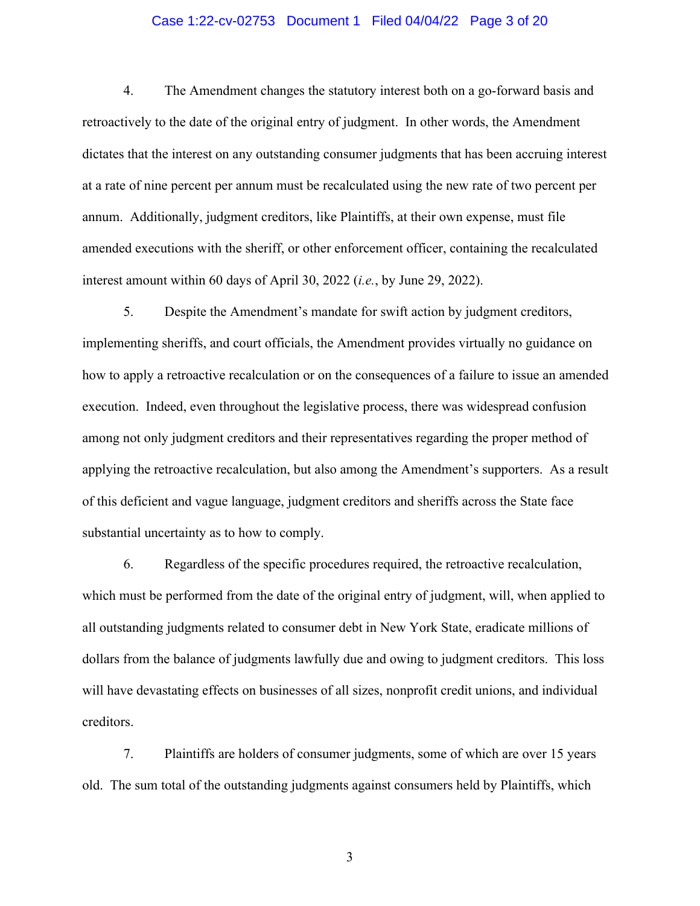### Case 1:22-cv-02753 Document 1 Filed 04/04/22 Page 3 of 20

4. The Amendment changes the statutory interest both on a go-forward basis and retroactively to the date of the original entry of judgment. In other words, the Amendment dictates that the interest on any outstanding consumer judgments that has been accruing interest at a rate of nine percent per annum must be recalculated using the new rate of two percent per annum. Additionally, judgment creditors, like Plaintiffs, at their own expense, must file amended executions with the sheriff, or other enforcement officer, containing the recalculated interest amount within 60 days of April 30, 2022 (*i.e.*, by June 29, 2022).

5. Despite the Amendment's mandate for swift action by judgment creditors, implementing sheriffs, and court officials, the Amendment provides virtually no guidance on how to apply a retroactive recalculation or on the consequences of a failure to issue an amended execution. Indeed, even throughout the legislative process, there was widespread confusion among not only judgment creditors and their representatives regarding the proper method of applying the retroactive recalculation, but also among the Amendment's supporters. As a result of this deficient and vague language, judgment creditors and sheriffs across the State face substantial uncertainty as to how to comply.

6. Regardless of the specific procedures required, the retroactive recalculation, which must be performed from the date of the original entry of judgment, will, when applied to all outstanding judgments related to consumer debt in New York State, eradicate millions of dollars from the balance of judgments lawfully due and owing to judgment creditors. This loss will have devastating effects on businesses of all sizes, nonprofit credit unions, and individual creditors.

7. Plaintiffs are holders of consumer judgments, some of which are over 15 years old. The sum total of the outstanding judgments against consumers held by Plaintiffs, which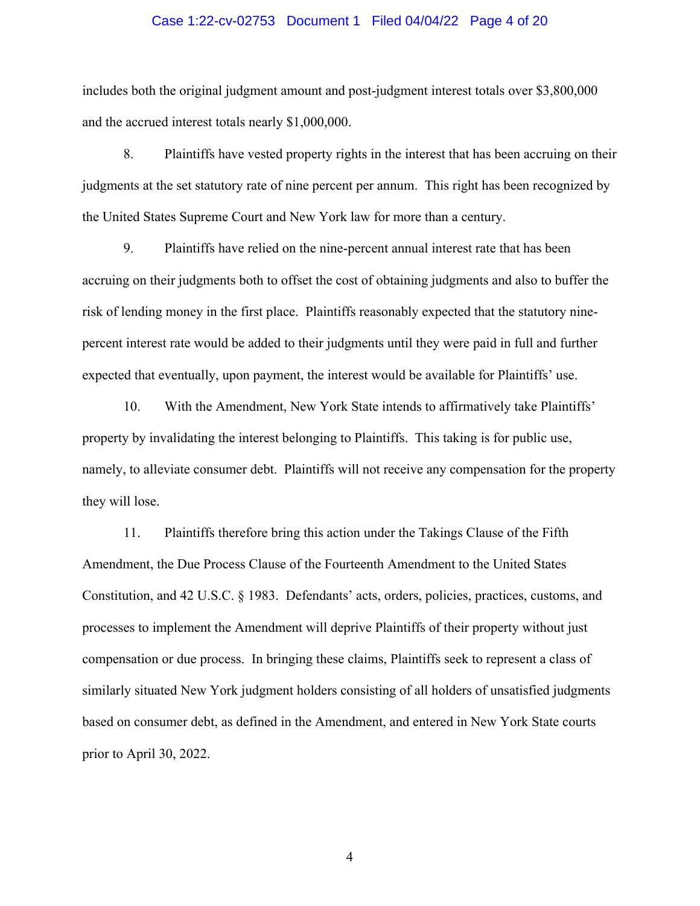#### Case 1:22-cv-02753 Document 1 Filed 04/04/22 Page 4 of 20

includes both the original judgment amount and post-judgment interest totals over \$3,800,000 and the accrued interest totals nearly \$1,000,000.

8. Plaintiffs have vested property rights in the interest that has been accruing on their judgments at the set statutory rate of nine percent per annum. This right has been recognized by the United States Supreme Court and New York law for more than a century.

9. Plaintiffs have relied on the nine-percent annual interest rate that has been accruing on their judgments both to offset the cost of obtaining judgments and also to buffer the risk of lending money in the first place. Plaintiffs reasonably expected that the statutory ninepercent interest rate would be added to their judgments until they were paid in full and further expected that eventually, upon payment, the interest would be available for Plaintiffs' use.

10. With the Amendment, New York State intends to affirmatively take Plaintiffs' property by invalidating the interest belonging to Plaintiffs. This taking is for public use, namely, to alleviate consumer debt. Plaintiffs will not receive any compensation for the property they will lose.

11. Plaintiffs therefore bring this action under the Takings Clause of the Fifth Amendment, the Due Process Clause of the Fourteenth Amendment to the United States Constitution, and 42 U.S.C. § 1983. Defendants' acts, orders, policies, practices, customs, and processes to implement the Amendment will deprive Plaintiffs of their property without just compensation or due process. In bringing these claims, Plaintiffs seek to represent a class of similarly situated New York judgment holders consisting of all holders of unsatisfied judgments based on consumer debt, as defined in the Amendment, and entered in New York State courts prior to April 30, 2022.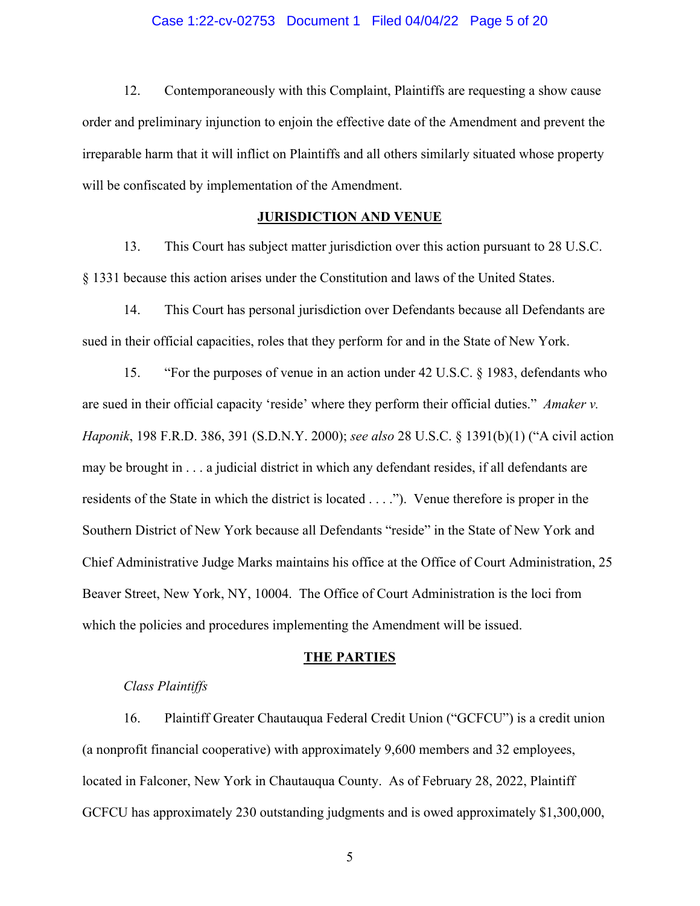#### Case 1:22-cv-02753 Document 1 Filed 04/04/22 Page 5 of 20

12. Contemporaneously with this Complaint, Plaintiffs are requesting a show cause order and preliminary injunction to enjoin the effective date of the Amendment and prevent the irreparable harm that it will inflict on Plaintiffs and all others similarly situated whose property will be confiscated by implementation of the Amendment.

## **JURISDICTION AND VENUE**

13. This Court has subject matter jurisdiction over this action pursuant to 28 U.S.C. § 1331 because this action arises under the Constitution and laws of the United States.

14. This Court has personal jurisdiction over Defendants because all Defendants are sued in their official capacities, roles that they perform for and in the State of New York.

15. "For the purposes of venue in an action under 42 U.S.C. § 1983, defendants who are sued in their official capacity 'reside' where they perform their official duties." *Amaker v. Haponik*, 198 F.R.D. 386, 391 (S.D.N.Y. 2000); *see also* 28 U.S.C. § 1391(b)(1) ("A civil action may be brought in . . . a judicial district in which any defendant resides, if all defendants are residents of the State in which the district is located . . . ."). Venue therefore is proper in the Southern District of New York because all Defendants "reside" in the State of New York and Chief Administrative Judge Marks maintains his office at the Office of Court Administration, 25 Beaver Street, New York, NY, 10004. The Office of Court Administration is the loci from which the policies and procedures implementing the Amendment will be issued.

#### **THE PARTIES**

#### *Class Plaintiffs*

16. Plaintiff Greater Chautauqua Federal Credit Union ("GCFCU") is a credit union (a nonprofit financial cooperative) with approximately 9,600 members and 32 employees, located in Falconer, New York in Chautauqua County. As of February 28, 2022, Plaintiff GCFCU has approximately 230 outstanding judgments and is owed approximately \$1,300,000,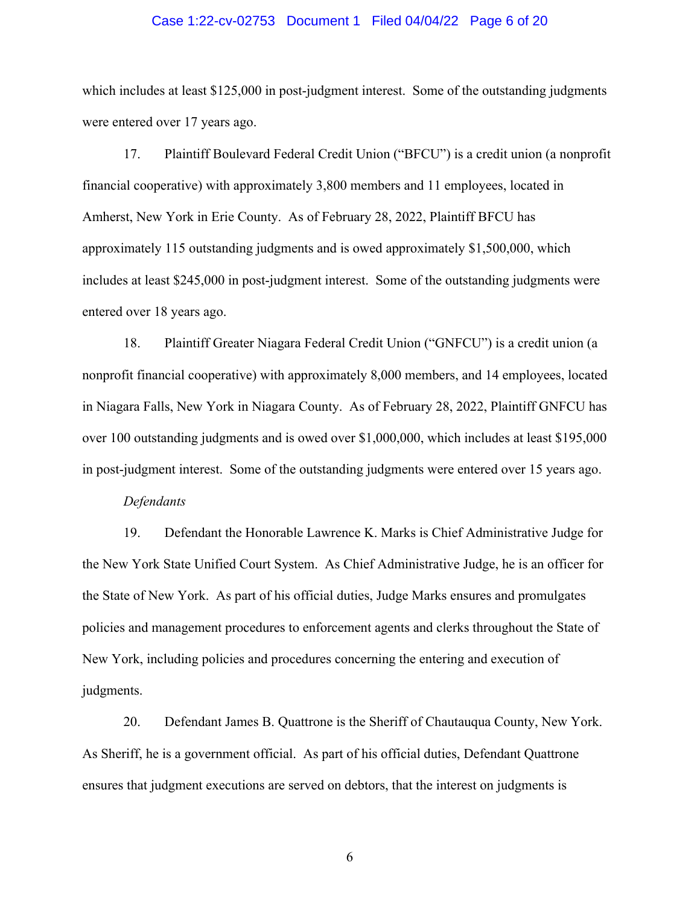#### Case 1:22-cv-02753 Document 1 Filed 04/04/22 Page 6 of 20

which includes at least \$125,000 in post-judgment interest. Some of the outstanding judgments were entered over 17 years ago.

17. Plaintiff Boulevard Federal Credit Union ("BFCU") is a credit union (a nonprofit financial cooperative) with approximately 3,800 members and 11 employees, located in Amherst, New York in Erie County. As of February 28, 2022, Plaintiff BFCU has approximately 115 outstanding judgments and is owed approximately \$1,500,000, which includes at least \$245,000 in post-judgment interest. Some of the outstanding judgments were entered over 18 years ago.

18. Plaintiff Greater Niagara Federal Credit Union ("GNFCU") is a credit union (a nonprofit financial cooperative) with approximately 8,000 members, and 14 employees, located in Niagara Falls, New York in Niagara County. As of February 28, 2022, Plaintiff GNFCU has over 100 outstanding judgments and is owed over \$1,000,000, which includes at least \$195,000 in post-judgment interest. Some of the outstanding judgments were entered over 15 years ago.

#### *Defendants*

19. Defendant the Honorable Lawrence K. Marks is Chief Administrative Judge for the New York State Unified Court System. As Chief Administrative Judge, he is an officer for the State of New York. As part of his official duties, Judge Marks ensures and promulgates policies and management procedures to enforcement agents and clerks throughout the State of New York, including policies and procedures concerning the entering and execution of judgments.

20. Defendant James B. Quattrone is the Sheriff of Chautauqua County, New York. As Sheriff, he is a government official. As part of his official duties, Defendant Quattrone ensures that judgment executions are served on debtors, that the interest on judgments is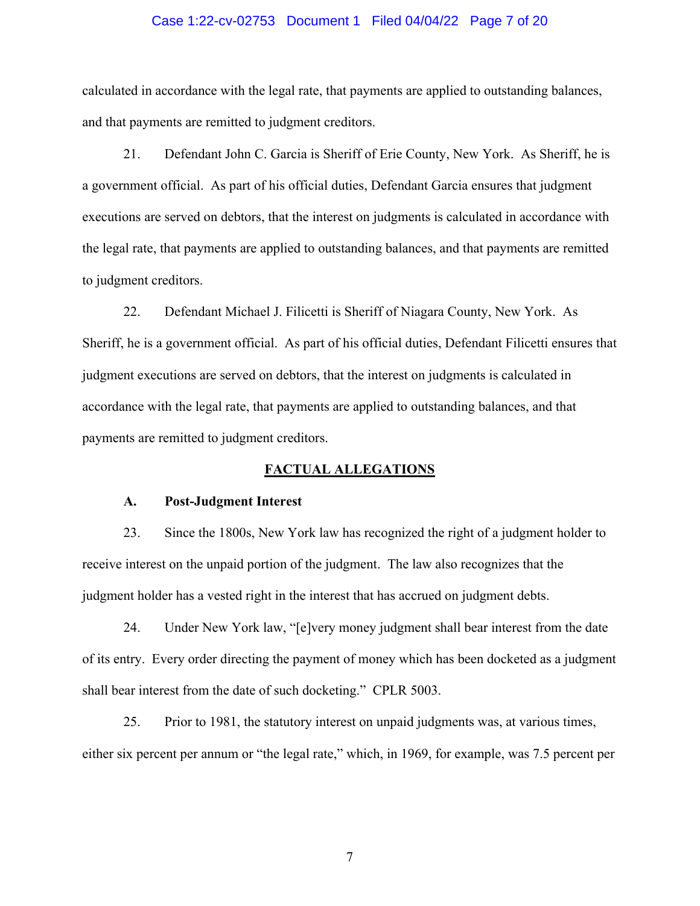#### Case 1:22-cv-02753 Document 1 Filed 04/04/22 Page 7 of 20

calculated in accordance with the legal rate, that payments are applied to outstanding balances, and that payments are remitted to judgment creditors.

21. Defendant John C. Garcia is Sheriff of Erie County, New York. As Sheriff, he is a government official. As part of his official duties, Defendant Garcia ensures that judgment executions are served on debtors, that the interest on judgments is calculated in accordance with the legal rate, that payments are applied to outstanding balances, and that payments are remitted to judgment creditors.

22. Defendant Michael J. Filicetti is Sheriff of Niagara County, New York. As Sheriff, he is a government official. As part of his official duties, Defendant Filicetti ensures that judgment executions are served on debtors, that the interest on judgments is calculated in accordance with the legal rate, that payments are applied to outstanding balances, and that payments are remitted to judgment creditors.

## **FACTUAL ALLEGATIONS**

#### **A. Post-Judgment Interest**

23. Since the 1800s, New York law has recognized the right of a judgment holder to receive interest on the unpaid portion of the judgment. The law also recognizes that the judgment holder has a vested right in the interest that has accrued on judgment debts.

24. Under New York law, "[e]very money judgment shall bear interest from the date of its entry. Every order directing the payment of money which has been docketed as a judgment shall bear interest from the date of such docketing." CPLR 5003.

25. Prior to 1981, the statutory interest on unpaid judgments was, at various times, either six percent per annum or "the legal rate," which, in 1969, for example, was 7.5 percent per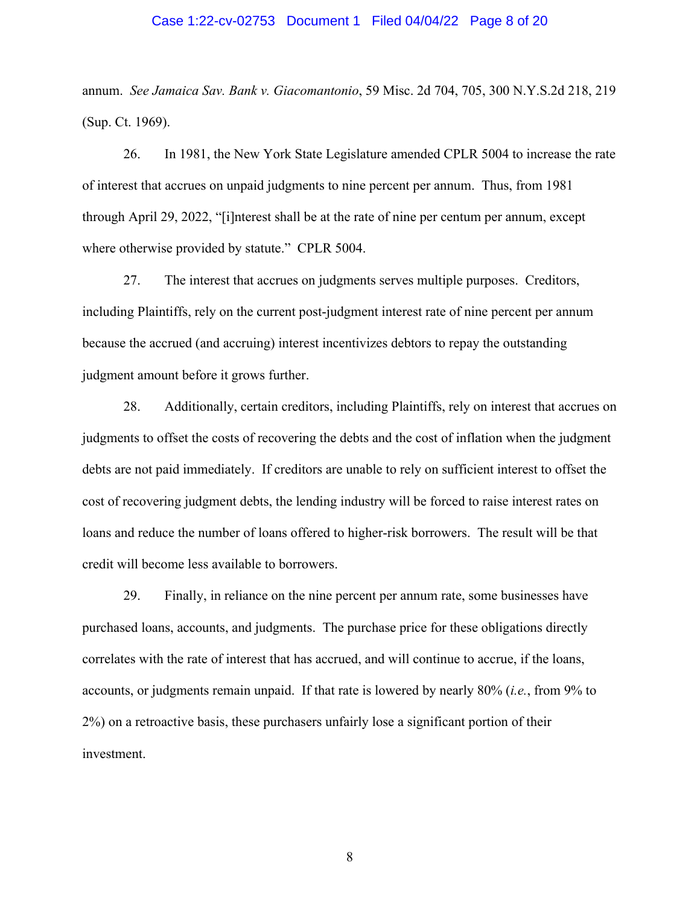#### Case 1:22-cv-02753 Document 1 Filed 04/04/22 Page 8 of 20

annum. *See Jamaica Sav. Bank v. Giacomantonio*, 59 Misc. 2d 704, 705, 300 N.Y.S.2d 218, 219 (Sup. Ct. 1969).

26. In 1981, the New York State Legislature amended CPLR 5004 to increase the rate of interest that accrues on unpaid judgments to nine percent per annum. Thus, from 1981 through April 29, 2022, "[i]nterest shall be at the rate of nine per centum per annum, except where otherwise provided by statute." CPLR 5004.

27. The interest that accrues on judgments serves multiple purposes. Creditors, including Plaintiffs, rely on the current post-judgment interest rate of nine percent per annum because the accrued (and accruing) interest incentivizes debtors to repay the outstanding judgment amount before it grows further.

28. Additionally, certain creditors, including Plaintiffs, rely on interest that accrues on judgments to offset the costs of recovering the debts and the cost of inflation when the judgment debts are not paid immediately. If creditors are unable to rely on sufficient interest to offset the cost of recovering judgment debts, the lending industry will be forced to raise interest rates on loans and reduce the number of loans offered to higher-risk borrowers. The result will be that credit will become less available to borrowers.

29. Finally, in reliance on the nine percent per annum rate, some businesses have purchased loans, accounts, and judgments. The purchase price for these obligations directly correlates with the rate of interest that has accrued, and will continue to accrue, if the loans, accounts, or judgments remain unpaid. If that rate is lowered by nearly 80% (*i.e.*, from 9% to 2%) on a retroactive basis, these purchasers unfairly lose a significant portion of their investment.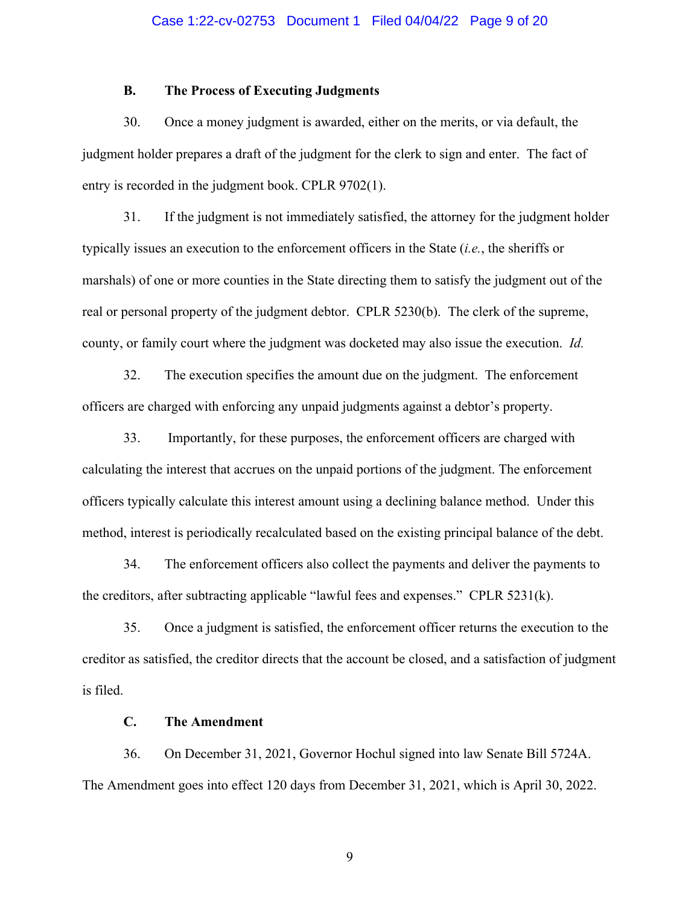#### **B. The Process of Executing Judgments**

30. Once a money judgment is awarded, either on the merits, or via default, the judgment holder prepares a draft of the judgment for the clerk to sign and enter. The fact of entry is recorded in the judgment book. CPLR 9702(1).

31. If the judgment is not immediately satisfied, the attorney for the judgment holder typically issues an execution to the enforcement officers in the State (*i.e.*, the sheriffs or marshals) of one or more counties in the State directing them to satisfy the judgment out of the real or personal property of the judgment debtor. CPLR 5230(b). The clerk of the supreme, county, or family court where the judgment was docketed may also issue the execution. *Id.*

32. The execution specifies the amount due on the judgment. The enforcement officers are charged with enforcing any unpaid judgments against a debtor's property.

33. Importantly, for these purposes, the enforcement officers are charged with calculating the interest that accrues on the unpaid portions of the judgment. The enforcement officers typically calculate this interest amount using a declining balance method. Under this method, interest is periodically recalculated based on the existing principal balance of the debt.

34. The enforcement officers also collect the payments and deliver the payments to the creditors, after subtracting applicable "lawful fees and expenses." CPLR 5231(k).

35. Once a judgment is satisfied, the enforcement officer returns the execution to the creditor as satisfied, the creditor directs that the account be closed, and a satisfaction of judgment is filed.

### **C. The Amendment**

36. On December 31, 2021, Governor Hochul signed into law Senate Bill 5724A. The Amendment goes into effect 120 days from December 31, 2021, which is April 30, 2022.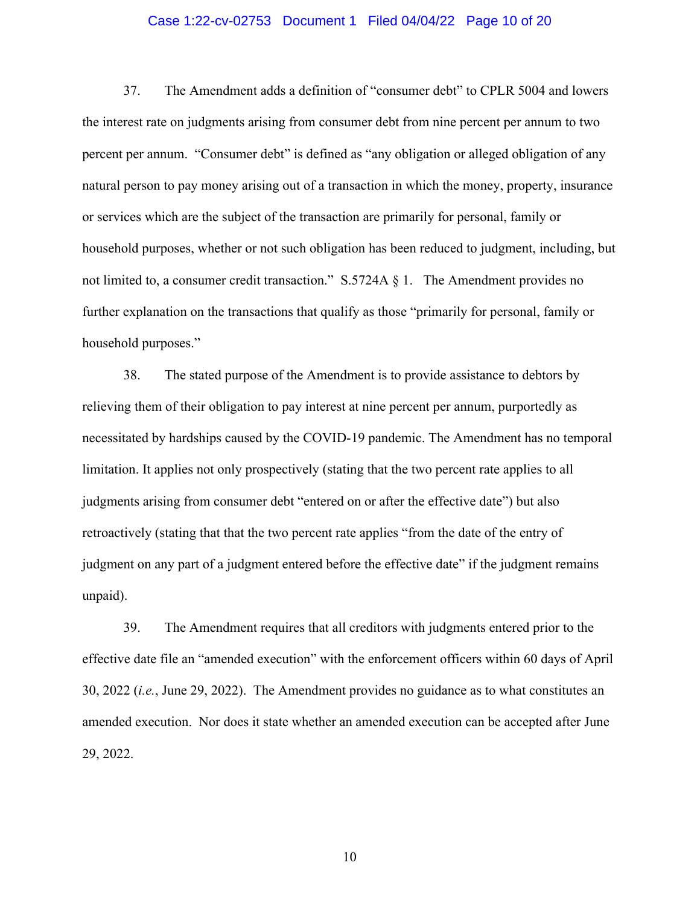#### Case 1:22-cv-02753 Document 1 Filed 04/04/22 Page 10 of 20

37. The Amendment adds a definition of "consumer debt" to CPLR 5004 and lowers the interest rate on judgments arising from consumer debt from nine percent per annum to two percent per annum. "Consumer debt" is defined as "any obligation or alleged obligation of any natural person to pay money arising out of a transaction in which the money, property, insurance or services which are the subject of the transaction are primarily for personal, family or household purposes, whether or not such obligation has been reduced to judgment, including, but not limited to, a consumer credit transaction."  $S.5724A \& 1$ . The Amendment provides no further explanation on the transactions that qualify as those "primarily for personal, family or household purposes."

38. The stated purpose of the Amendment is to provide assistance to debtors by relieving them of their obligation to pay interest at nine percent per annum, purportedly as necessitated by hardships caused by the COVID-19 pandemic. The Amendment has no temporal limitation. It applies not only prospectively (stating that the two percent rate applies to all judgments arising from consumer debt "entered on or after the effective date") but also retroactively (stating that that the two percent rate applies "from the date of the entry of judgment on any part of a judgment entered before the effective date" if the judgment remains unpaid).

39. The Amendment requires that all creditors with judgments entered prior to the effective date file an "amended execution" with the enforcement officers within 60 days of April 30, 2022 (*i.e.*, June 29, 2022). The Amendment provides no guidance as to what constitutes an amended execution. Nor does it state whether an amended execution can be accepted after June 29, 2022.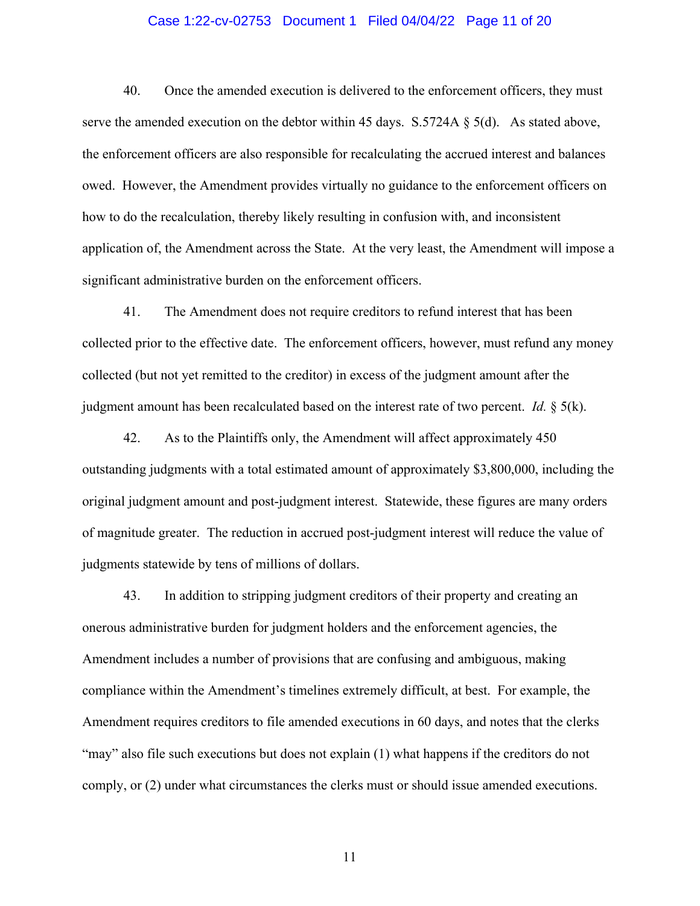### Case 1:22-cv-02753 Document 1 Filed 04/04/22 Page 11 of 20

40. Once the amended execution is delivered to the enforcement officers, they must serve the amended execution on the debtor within 45 days. S.5724A § 5(d). As stated above, the enforcement officers are also responsible for recalculating the accrued interest and balances owed. However, the Amendment provides virtually no guidance to the enforcement officers on how to do the recalculation, thereby likely resulting in confusion with, and inconsistent application of, the Amendment across the State. At the very least, the Amendment will impose a significant administrative burden on the enforcement officers.

41. The Amendment does not require creditors to refund interest that has been collected prior to the effective date. The enforcement officers, however, must refund any money collected (but not yet remitted to the creditor) in excess of the judgment amount after the judgment amount has been recalculated based on the interest rate of two percent. *Id.* § 5(k).

42. As to the Plaintiffs only, the Amendment will affect approximately 450 outstanding judgments with a total estimated amount of approximately \$3,800,000, including the original judgment amount and post-judgment interest. Statewide, these figures are many orders of magnitude greater. The reduction in accrued post-judgment interest will reduce the value of judgments statewide by tens of millions of dollars.

43. In addition to stripping judgment creditors of their property and creating an onerous administrative burden for judgment holders and the enforcement agencies, the Amendment includes a number of provisions that are confusing and ambiguous, making compliance within the Amendment's timelines extremely difficult, at best. For example, the Amendment requires creditors to file amended executions in 60 days, and notes that the clerks "may" also file such executions but does not explain (1) what happens if the creditors do not comply, or (2) under what circumstances the clerks must or should issue amended executions.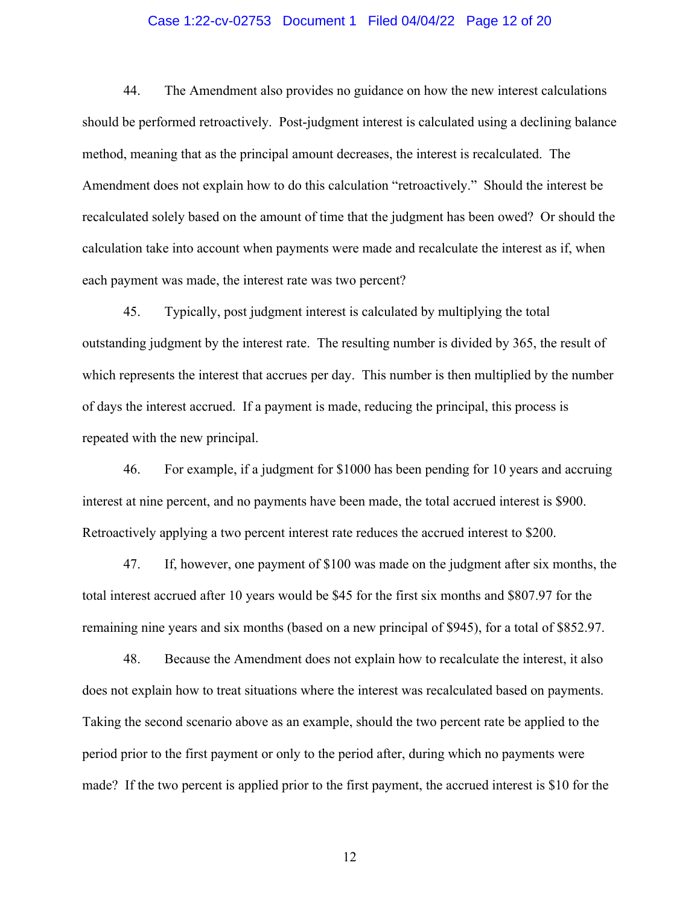### Case 1:22-cv-02753 Document 1 Filed 04/04/22 Page 12 of 20

44. The Amendment also provides no guidance on how the new interest calculations should be performed retroactively. Post-judgment interest is calculated using a declining balance method, meaning that as the principal amount decreases, the interest is recalculated. The Amendment does not explain how to do this calculation "retroactively." Should the interest be recalculated solely based on the amount of time that the judgment has been owed? Or should the calculation take into account when payments were made and recalculate the interest as if, when each payment was made, the interest rate was two percent?

45. Typically, post judgment interest is calculated by multiplying the total outstanding judgment by the interest rate. The resulting number is divided by 365, the result of which represents the interest that accrues per day. This number is then multiplied by the number of days the interest accrued. If a payment is made, reducing the principal, this process is repeated with the new principal.

46. For example, if a judgment for \$1000 has been pending for 10 years and accruing interest at nine percent, and no payments have been made, the total accrued interest is \$900. Retroactively applying a two percent interest rate reduces the accrued interest to \$200.

47. If, however, one payment of \$100 was made on the judgment after six months, the total interest accrued after 10 years would be \$45 for the first six months and \$807.97 for the remaining nine years and six months (based on a new principal of \$945), for a total of \$852.97.

48. Because the Amendment does not explain how to recalculate the interest, it also does not explain how to treat situations where the interest was recalculated based on payments. Taking the second scenario above as an example, should the two percent rate be applied to the period prior to the first payment or only to the period after, during which no payments were made? If the two percent is applied prior to the first payment, the accrued interest is \$10 for the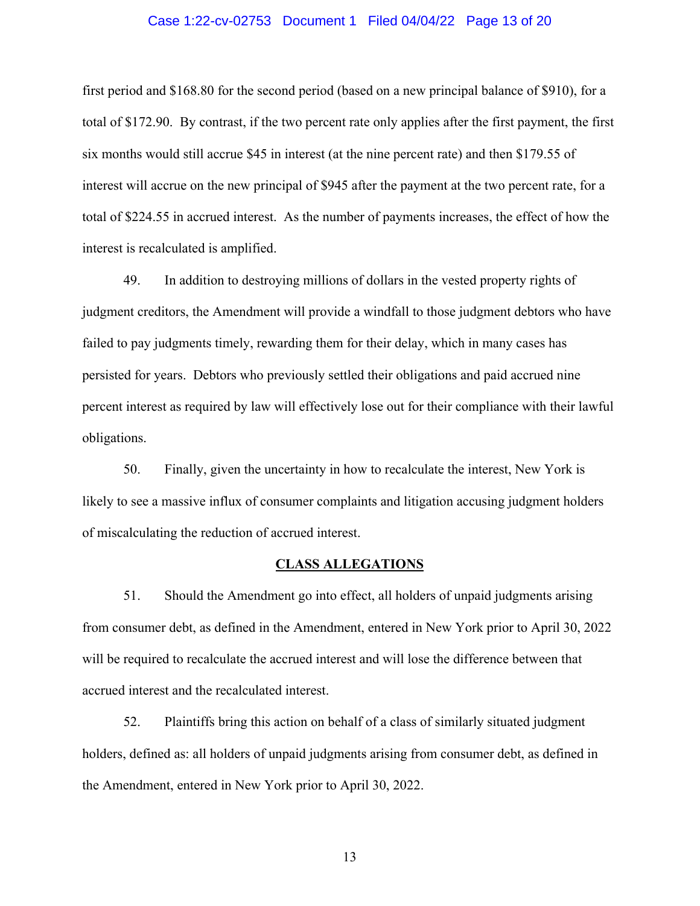#### Case 1:22-cv-02753 Document 1 Filed 04/04/22 Page 13 of 20

first period and \$168.80 for the second period (based on a new principal balance of \$910), for a total of \$172.90. By contrast, if the two percent rate only applies after the first payment, the first six months would still accrue \$45 in interest (at the nine percent rate) and then \$179.55 of interest will accrue on the new principal of \$945 after the payment at the two percent rate, for a total of \$224.55 in accrued interest. As the number of payments increases, the effect of how the interest is recalculated is amplified.

49. In addition to destroying millions of dollars in the vested property rights of judgment creditors, the Amendment will provide a windfall to those judgment debtors who have failed to pay judgments timely, rewarding them for their delay, which in many cases has persisted for years. Debtors who previously settled their obligations and paid accrued nine percent interest as required by law will effectively lose out for their compliance with their lawful obligations.

50. Finally, given the uncertainty in how to recalculate the interest, New York is likely to see a massive influx of consumer complaints and litigation accusing judgment holders of miscalculating the reduction of accrued interest.

#### **CLASS ALLEGATIONS**

51. Should the Amendment go into effect, all holders of unpaid judgments arising from consumer debt, as defined in the Amendment, entered in New York prior to April 30, 2022 will be required to recalculate the accrued interest and will lose the difference between that accrued interest and the recalculated interest.

52. Plaintiffs bring this action on behalf of a class of similarly situated judgment holders, defined as: all holders of unpaid judgments arising from consumer debt, as defined in the Amendment, entered in New York prior to April 30, 2022.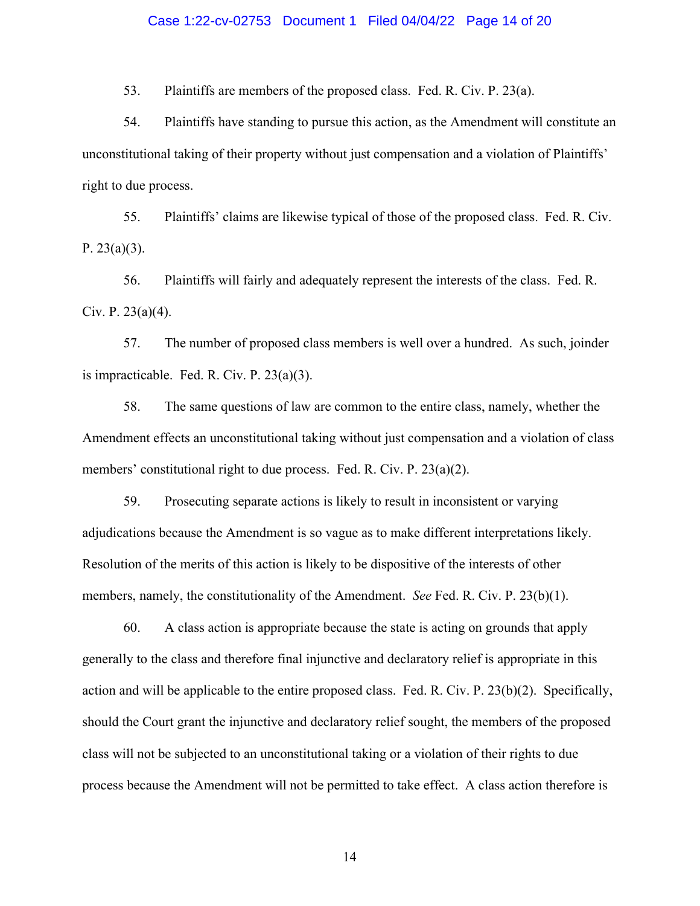#### Case 1:22-cv-02753 Document 1 Filed 04/04/22 Page 14 of 20

53. Plaintiffs are members of the proposed class. Fed. R. Civ. P. 23(a).

54. Plaintiffs have standing to pursue this action, as the Amendment will constitute an unconstitutional taking of their property without just compensation and a violation of Plaintiffs' right to due process.

55. Plaintiffs' claims are likewise typical of those of the proposed class. Fed. R. Civ. P.  $23(a)(3)$ .

56. Plaintiffs will fairly and adequately represent the interests of the class. Fed. R. Civ. P. 23(a)(4).

57. The number of proposed class members is well over a hundred. As such, joinder is impracticable. Fed. R. Civ. P. 23(a)(3).

58. The same questions of law are common to the entire class, namely, whether the Amendment effects an unconstitutional taking without just compensation and a violation of class members' constitutional right to due process. Fed. R. Civ. P. 23(a)(2).

59. Prosecuting separate actions is likely to result in inconsistent or varying adjudications because the Amendment is so vague as to make different interpretations likely. Resolution of the merits of this action is likely to be dispositive of the interests of other members, namely, the constitutionality of the Amendment. *See* Fed. R. Civ. P. 23(b)(1).

60. A class action is appropriate because the state is acting on grounds that apply generally to the class and therefore final injunctive and declaratory relief is appropriate in this action and will be applicable to the entire proposed class. Fed. R. Civ. P. 23(b)(2). Specifically, should the Court grant the injunctive and declaratory relief sought, the members of the proposed class will not be subjected to an unconstitutional taking or a violation of their rights to due process because the Amendment will not be permitted to take effect. A class action therefore is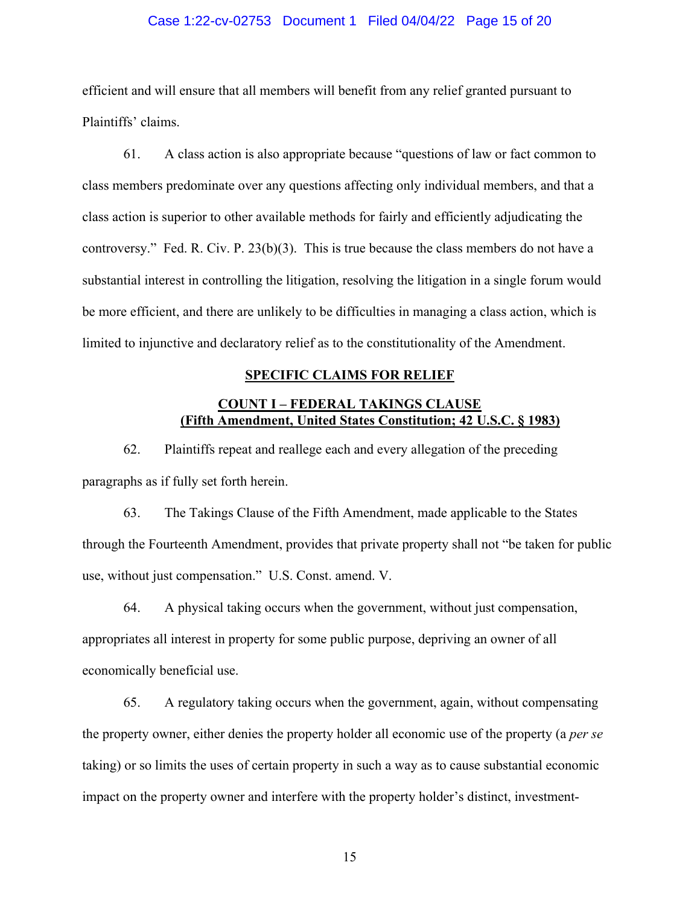### Case 1:22-cv-02753 Document 1 Filed 04/04/22 Page 15 of 20

efficient and will ensure that all members will benefit from any relief granted pursuant to Plaintiffs' claims.

61. A class action is also appropriate because "questions of law or fact common to class members predominate over any questions affecting only individual members, and that a class action is superior to other available methods for fairly and efficiently adjudicating the controversy." Fed. R. Civ. P. 23(b)(3). This is true because the class members do not have a substantial interest in controlling the litigation, resolving the litigation in a single forum would be more efficient, and there are unlikely to be difficulties in managing a class action, which is limited to injunctive and declaratory relief as to the constitutionality of the Amendment.

#### **SPECIFIC CLAIMS FOR RELIEF**

## **COUNT I – FEDERAL TAKINGS CLAUSE (Fifth Amendment, United States Constitution; 42 U.S.C. § 1983)**

62. Plaintiffs repeat and reallege each and every allegation of the preceding paragraphs as if fully set forth herein.

63. The Takings Clause of the Fifth Amendment, made applicable to the States through the Fourteenth Amendment, provides that private property shall not "be taken for public use, without just compensation." U.S. Const. amend. V.

64. A physical taking occurs when the government, without just compensation, appropriates all interest in property for some public purpose, depriving an owner of all economically beneficial use.

65. A regulatory taking occurs when the government, again, without compensating the property owner, either denies the property holder all economic use of the property (a *per se* taking) or so limits the uses of certain property in such a way as to cause substantial economic impact on the property owner and interfere with the property holder's distinct, investment-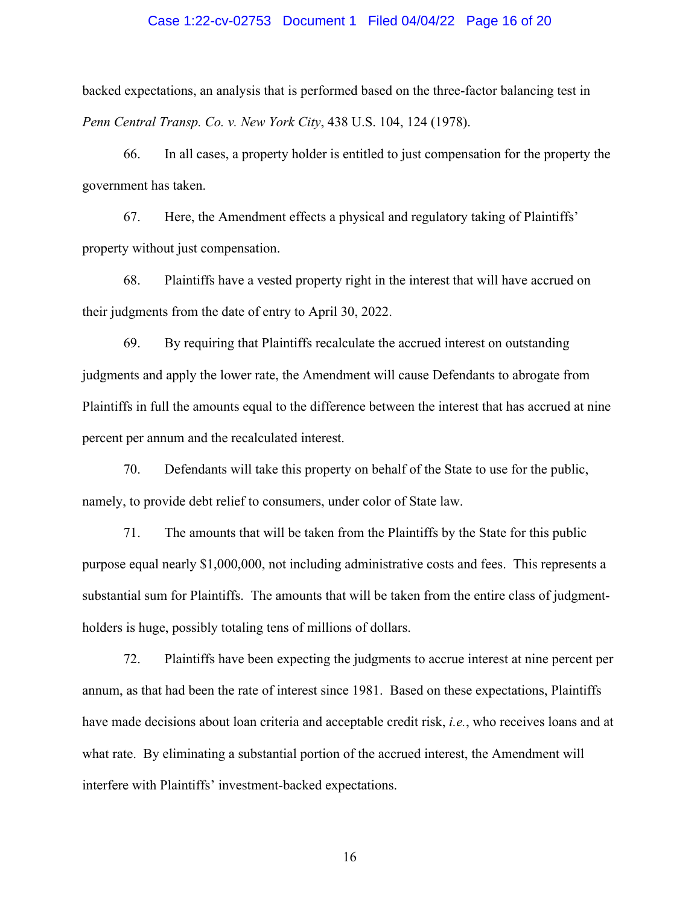#### Case 1:22-cv-02753 Document 1 Filed 04/04/22 Page 16 of 20

backed expectations, an analysis that is performed based on the three-factor balancing test in *Penn Central Transp. Co. v. New York City*, 438 U.S. 104, 124 (1978).

66. In all cases, a property holder is entitled to just compensation for the property the government has taken.

67. Here, the Amendment effects a physical and regulatory taking of Plaintiffs' property without just compensation.

68. Plaintiffs have a vested property right in the interest that will have accrued on their judgments from the date of entry to April 30, 2022.

69. By requiring that Plaintiffs recalculate the accrued interest on outstanding judgments and apply the lower rate, the Amendment will cause Defendants to abrogate from Plaintiffs in full the amounts equal to the difference between the interest that has accrued at nine percent per annum and the recalculated interest.

70. Defendants will take this property on behalf of the State to use for the public, namely, to provide debt relief to consumers, under color of State law.

71. The amounts that will be taken from the Plaintiffs by the State for this public purpose equal nearly \$1,000,000, not including administrative costs and fees. This represents a substantial sum for Plaintiffs. The amounts that will be taken from the entire class of judgmentholders is huge, possibly totaling tens of millions of dollars.

72. Plaintiffs have been expecting the judgments to accrue interest at nine percent per annum, as that had been the rate of interest since 1981. Based on these expectations, Plaintiffs have made decisions about loan criteria and acceptable credit risk, *i.e.*, who receives loans and at what rate. By eliminating a substantial portion of the accrued interest, the Amendment will interfere with Plaintiffs' investment-backed expectations.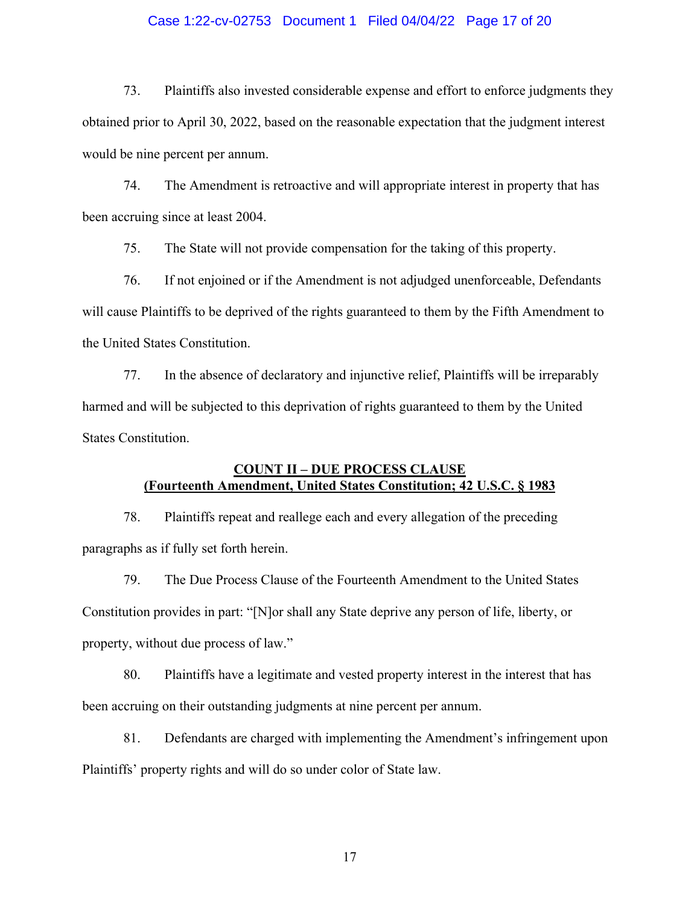### Case 1:22-cv-02753 Document 1 Filed 04/04/22 Page 17 of 20

73. Plaintiffs also invested considerable expense and effort to enforce judgments they obtained prior to April 30, 2022, based on the reasonable expectation that the judgment interest would be nine percent per annum.

74. The Amendment is retroactive and will appropriate interest in property that has been accruing since at least 2004.

75. The State will not provide compensation for the taking of this property.

76. If not enjoined or if the Amendment is not adjudged unenforceable, Defendants will cause Plaintiffs to be deprived of the rights guaranteed to them by the Fifth Amendment to the United States Constitution.

77. In the absence of declaratory and injunctive relief, Plaintiffs will be irreparably harmed and will be subjected to this deprivation of rights guaranteed to them by the United States Constitution.

## **COUNT II – DUE PROCESS CLAUSE (Fourteenth Amendment, United States Constitution; 42 U.S.C. § 1983**

78. Plaintiffs repeat and reallege each and every allegation of the preceding paragraphs as if fully set forth herein.

79. The Due Process Clause of the Fourteenth Amendment to the United States Constitution provides in part: "[N]or shall any State deprive any person of life, liberty, or property, without due process of law."

80. Plaintiffs have a legitimate and vested property interest in the interest that has been accruing on their outstanding judgments at nine percent per annum.

81. Defendants are charged with implementing the Amendment's infringement upon Plaintiffs' property rights and will do so under color of State law.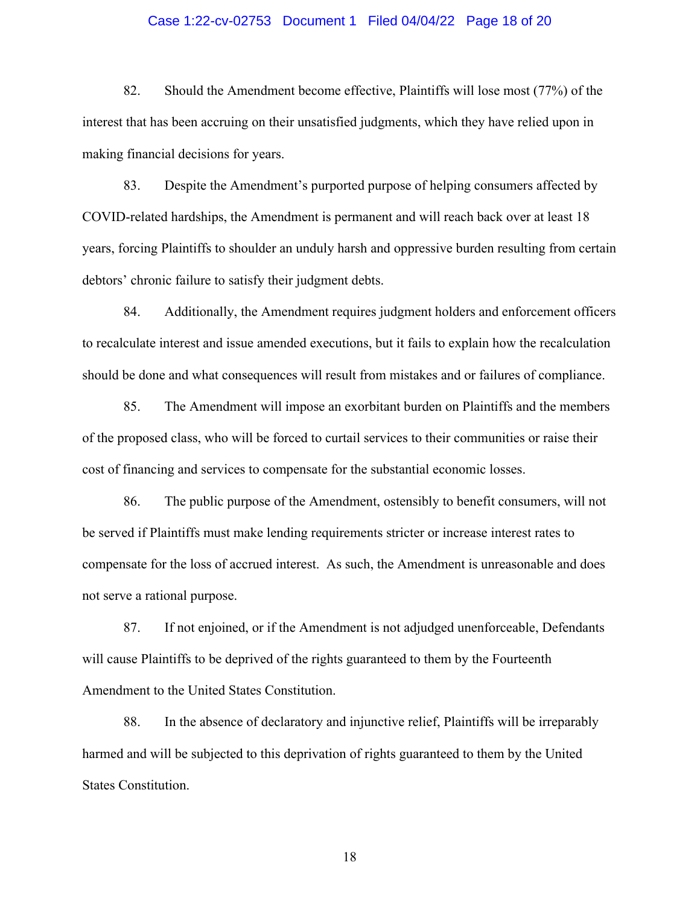### Case 1:22-cv-02753 Document 1 Filed 04/04/22 Page 18 of 20

82. Should the Amendment become effective, Plaintiffs will lose most (77%) of the interest that has been accruing on their unsatisfied judgments, which they have relied upon in making financial decisions for years.

83. Despite the Amendment's purported purpose of helping consumers affected by COVID-related hardships, the Amendment is permanent and will reach back over at least 18 years, forcing Plaintiffs to shoulder an unduly harsh and oppressive burden resulting from certain debtors' chronic failure to satisfy their judgment debts.

84. Additionally, the Amendment requires judgment holders and enforcement officers to recalculate interest and issue amended executions, but it fails to explain how the recalculation should be done and what consequences will result from mistakes and or failures of compliance.

85. The Amendment will impose an exorbitant burden on Plaintiffs and the members of the proposed class, who will be forced to curtail services to their communities or raise their cost of financing and services to compensate for the substantial economic losses.

86. The public purpose of the Amendment, ostensibly to benefit consumers, will not be served if Plaintiffs must make lending requirements stricter or increase interest rates to compensate for the loss of accrued interest. As such, the Amendment is unreasonable and does not serve a rational purpose.

87. If not enjoined, or if the Amendment is not adjudged unenforceable, Defendants will cause Plaintiffs to be deprived of the rights guaranteed to them by the Fourteenth Amendment to the United States Constitution.

88. In the absence of declaratory and injunctive relief, Plaintiffs will be irreparably harmed and will be subjected to this deprivation of rights guaranteed to them by the United States Constitution.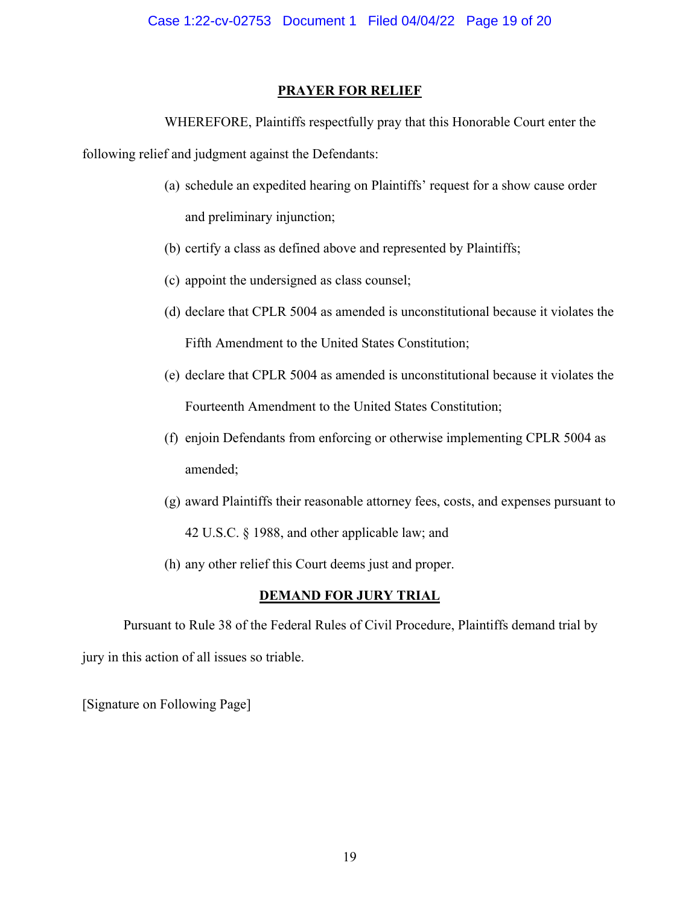# **PRAYER FOR RELIEF**

WHEREFORE, Plaintiffs respectfully pray that this Honorable Court enter the

following relief and judgment against the Defendants:

- (a) schedule an expedited hearing on Plaintiffs' request for a show cause order and preliminary injunction;
- (b) certify a class as defined above and represented by Plaintiffs;
- (c) appoint the undersigned as class counsel;
- (d) declare that CPLR 5004 as amended is unconstitutional because it violates the Fifth Amendment to the United States Constitution;
- (e) declare that CPLR 5004 as amended is unconstitutional because it violates the Fourteenth Amendment to the United States Constitution;
- (f) enjoin Defendants from enforcing or otherwise implementing CPLR 5004 as amended;
- (g) award Plaintiffs their reasonable attorney fees, costs, and expenses pursuant to 42 U.S.C. § 1988, and other applicable law; and
- (h) any other relief this Court deems just and proper.

# **DEMAND FOR JURY TRIAL**

 Pursuant to Rule 38 of the Federal Rules of Civil Procedure, Plaintiffs demand trial by jury in this action of all issues so triable.

[Signature on Following Page]